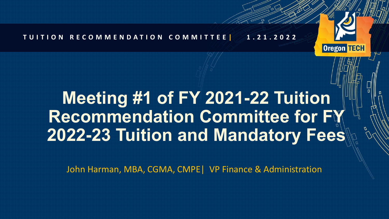

# **Meeting #1 of FY 2021-22 Tuition Recommendation Committee for FY 2022-23 Tuition and Mandatory Fees**

**Oregon TECH** 

John Harman, MBA, CGMA, CMPE| VP Finance & Administration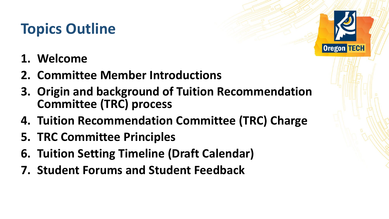# **Topics Outline**

- **1. Welcome**
- **2. Committee Member Introductions**
- **3. Origin and background of Tuition Recommendation Committee (TRC) process**
- **4. Tuition Recommendation Committee (TRC) Charge**
- **5. TRC Committee Principles**
- **6. Tuition Setting Timeline (Draft Calendar)**
- **7. Student Forums and Student Feedback**

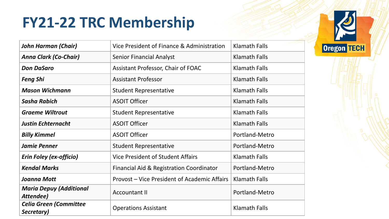## **FY21-22 TRC Membership**

| <b>John Harman (Chair)</b>                  | Vice President of Finance & Administration   | <b>Klamath Falls</b> |
|---------------------------------------------|----------------------------------------------|----------------------|
| <b>Anna Clark (Co-Chair)</b>                | <b>Senior Financial Analyst</b>              | <b>Klamath Falls</b> |
| <b>Don DaSaro</b>                           | Assistant Professor, Chair of FOAC           | <b>Klamath Falls</b> |
| <b>Feng Shi</b>                             | <b>Assistant Professor</b>                   | <b>Klamath Falls</b> |
| <b>Mason Wichmann</b>                       | <b>Student Representative</b>                | <b>Klamath Falls</b> |
| <b>Sasha Rabich</b>                         | <b>ASOIT Officer</b>                         | <b>Klamath Falls</b> |
| <b>Graeme Wiltrout</b>                      | <b>Student Representative</b>                | <b>Klamath Falls</b> |
| <b>Justin Echternacht</b>                   | <b>ASOIT Officer</b>                         | <b>Klamath Falls</b> |
| <b>Billy Kimmel</b>                         | <b>ASOIT Officer</b>                         | Portland-Metro       |
| <b>Jamie Penner</b>                         | <b>Student Representative</b>                | Portland-Metro       |
| <b>Erin Foley (ex-officio)</b>              | <b>Vice President of Student Affairs</b>     | <b>Klamath Falls</b> |
| <b>Kendal Marks</b>                         | Financial Aid & Registration Coordinator     | Portland-Metro       |
| <b>Joanna Mott</b>                          | Provost - Vice President of Academic Affairs | <b>Klamath Falls</b> |
| <b>Maria Depuy (Additional</b><br>Attendee) | <b>Accountant II</b>                         | Portland-Metro       |
| <b>Celia Green (Committee</b><br>Secretary) | <b>Operations Assistant</b>                  | <b>Klamath Falls</b> |

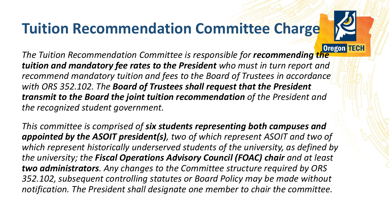# **Tuition Recommendation Committee Charge**



**The Tuition Recommendation Committee is responsible for <b>recommending the** *tuition and mandatory fee rates to the President who must in turn report and recommend mandatory tuition and fees to the Board of Trustees in accordance with ORS 352.102. The Board of Trustees shall request that the President transmit to the Board the joint tuition recommendation of the President and the recognized student government.* 

*This committee is comprised of six students representing both campuses and appointed by the ASOIT president(s), two of which represent ASOIT and two of which represent historically underserved students of the university, as defined by the university; the Fiscal Operations Advisory Council (FOAC) chair and at least two administrators. Any changes to the Committee structure required by ORS 352.102, subsequent controlling statutes or Board Policy may be made without notification. The President shall designate one member to chair the committee.*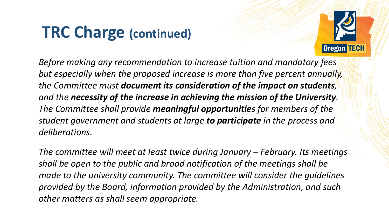# **TRC Charge (continued)**



*Before making any recommendation to increase tuition and mandatory fees but especially when the proposed increase is more than five percent annually, the Committee must document its consideration of the impact on students, and the necessity of the increase in achieving the mission of the University. The Committee shall provide meaningful opportunities for members of the student government and students at large to participate in the process and deliberations.* 

*The committee will meet at least twice during January – February. Its meetings shall be open to the public and broad notification of the meetings shall be made to the university community. The committee will consider the guidelines provided by the Board, information provided by the Administration, and such other matters as shall seem appropriate.*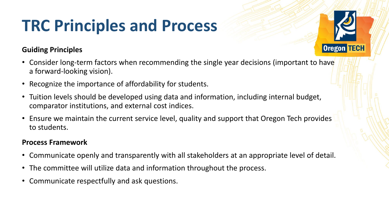# **TRC Principles and Process**

#### **Guiding Principles**

- Consider long-term factors when recommending the single year decisions (important to have a forward-looking vision).
- Recognize the importance of affordability for students.
- Tuition levels should be developed using data and information, including internal budget, comparator institutions, and external cost indices.
- Ensure we maintain the current service level, quality and support that Oregon Tech provides to students.

#### **Process Framework**

- Communicate openly and transparently with all stakeholders at an appropriate level of detail.
- The committee will utilize data and information throughout the process.
- Communicate respectfully and ask questions.

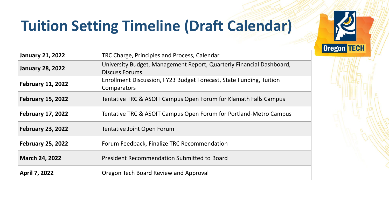

# **Tuition Setting Timeline (Draft Calendar)**

| <b>January 21, 2022</b>  | TRC Charge, Principles and Process, Calendar                                                  |  |  |
|--------------------------|-----------------------------------------------------------------------------------------------|--|--|
| <b>January 28, 2022</b>  | University Budget, Management Report, Quarterly Financial Dashboard,<br><b>Discuss Forums</b> |  |  |
| <b>February 11, 2022</b> | Enrollment Discussion, FY23 Budget Forecast, State Funding, Tuition<br><b>Comparators</b>     |  |  |
| <b>February 15, 2022</b> | Tentative TRC & ASOIT Campus Open Forum for Klamath Falls Campus                              |  |  |
| <b>February 17, 2022</b> | Tentative TRC & ASOIT Campus Open Forum for Portland-Metro Campus                             |  |  |
| <b>February 23, 2022</b> | Tentative Joint Open Forum                                                                    |  |  |
| <b>February 25, 2022</b> | Forum Feedback, Finalize TRC Recommendation                                                   |  |  |
| <b>March 24, 2022</b>    | <b>President Recommendation Submitted to Board</b>                                            |  |  |
| <b>April 7, 2022</b>     | Oregon Tech Board Review and Approval                                                         |  |  |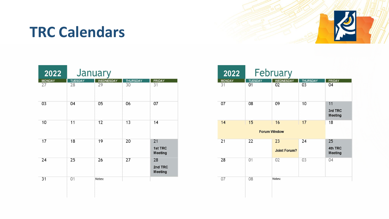### **TRC Calendars**



| 2022          | January        |                  |                 |                          |
|---------------|----------------|------------------|-----------------|--------------------------|
| <b>MONDAY</b> | <b>TUESDAY</b> | <b>WEDNESDAY</b> | <b>THURSDAY</b> | <b>FRIDAY</b>            |
| 27            | 28             | 29               | 30              | 31                       |
| 03            | 04             | 05               | 06              | 07                       |
| 10            | 11             | 12               | 13              | 14                       |
| 17            | 18             | 19               | 20              | 21<br>1st TRC<br>Meeting |
| 24            | 25             | 26               | 27              | 28<br>2nd TRC<br>Meeting |
| 31            | 01             | Notes:           |                 |                          |

| 2022                |                      | February                  |                       |                                 |
|---------------------|----------------------|---------------------------|-----------------------|---------------------------------|
| <b>MONDAY</b><br>31 | <b>TUESDAY</b><br>01 | <b>WEDNESDAY</b><br>02    | <b>THURSDAY</b><br>03 | <b>FRIDAY</b><br>04             |
| 07                  | 08                   | 09                        | 10                    | 11<br>3rd TRC<br><b>Meeting</b> |
| 14                  | 18                   |                           |                       |                                 |
| 21                  | 22                   | 23<br><b>Joint Forum?</b> | 24                    | 25<br>4th TRC<br><b>Meeting</b> |
| 28                  | 01                   | 02                        | 03                    | 04                              |
| 07                  | 08                   | Notes:                    |                       |                                 |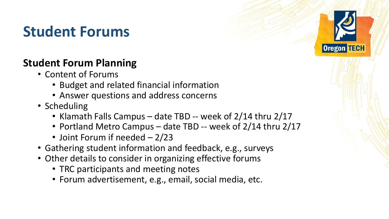### **Student Forums**

### **Student Forum Planning**

- Content of Forums
	- Budget and related financial information
	- Answer questions and address concerns
- Scheduling
	- Klamath Falls Campus date TBD -- week of 2/14 thru 2/17
	- Portland Metro Campus date TBD -- week of 2/14 thru 2/17

**Oregon TECH** 

- Joint Forum if needed 2/23
- Gathering student information and feedback, e.g., surveys
- Other details to consider in organizing effective forums
	- TRC participants and meeting notes
	- Forum advertisement, e.g., email, social media, etc.